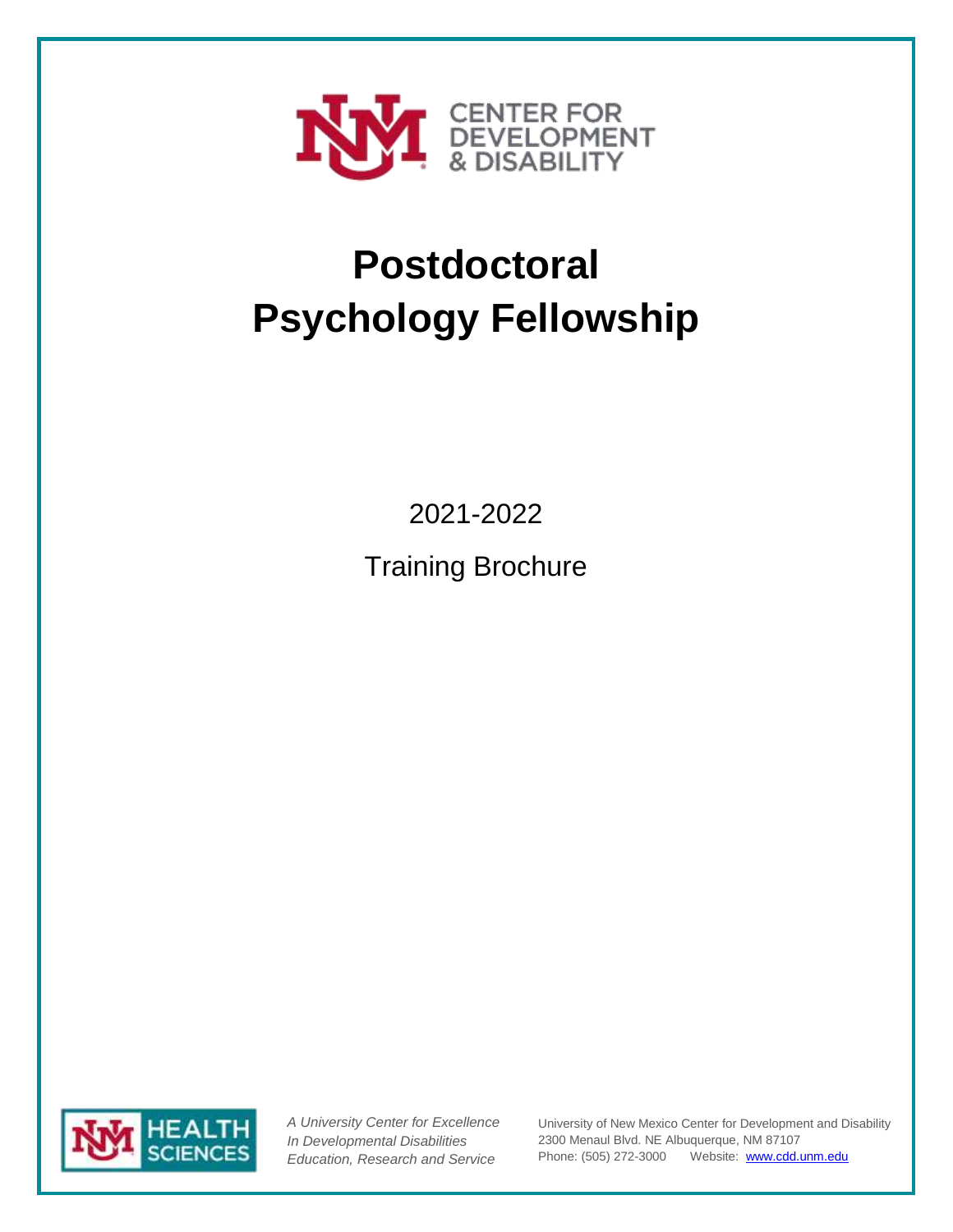

# **Postdoctoral Psychology Fellowship**

2021-2022

Training Brochure



*A University Center for Excellence In Developmental Disabilities Education, Research and Service*

University of New Mexico Center for Development and Disability 2300 Menaul Blvd. NE Albuquerque, NM 87107 Phone: (505) 272-3000 Website: [www.cdd.unm.edu](http://www.cdd.unm.edu/)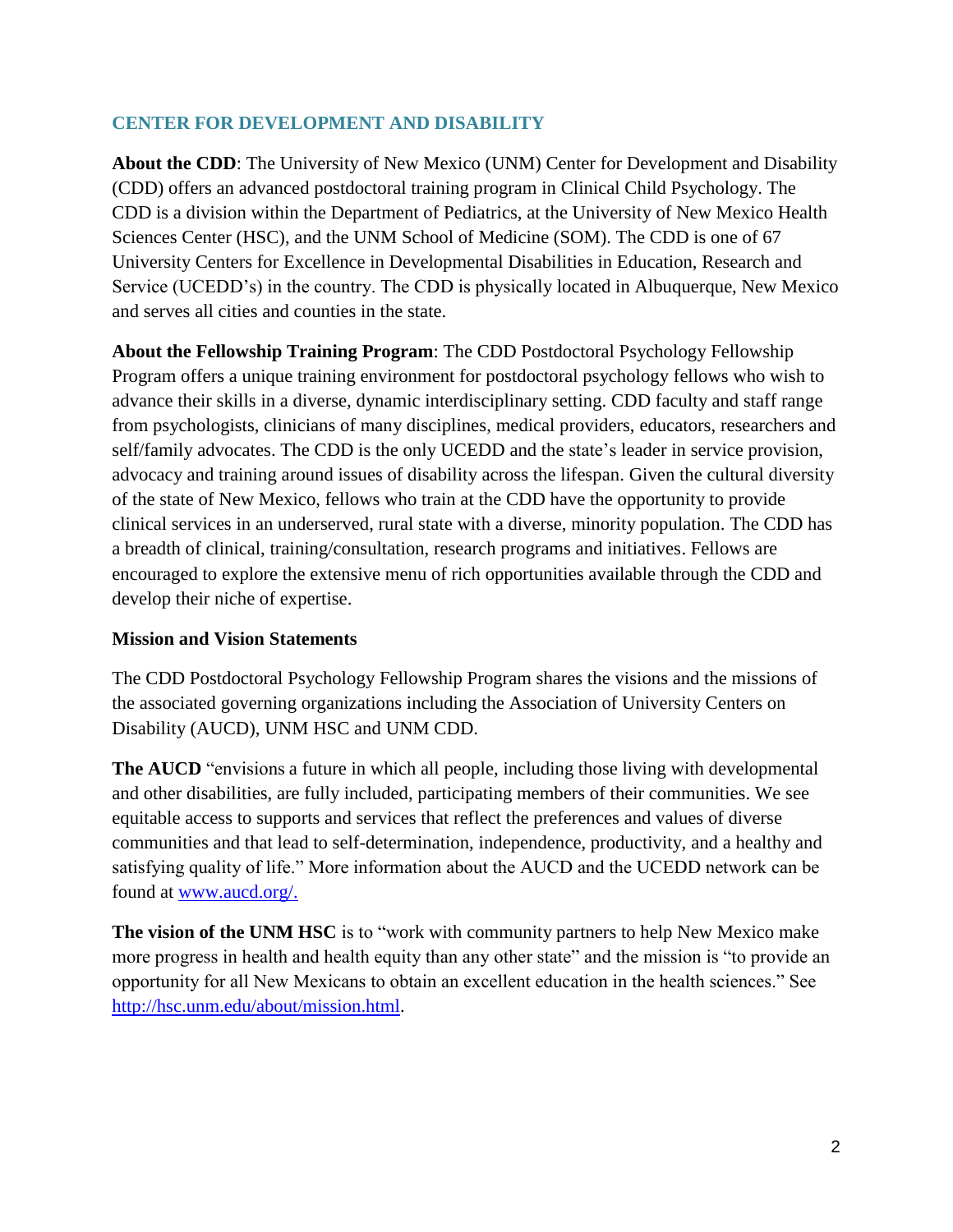# **CENTER FOR DEVELOPMENT AND DISABILITY**

**About the CDD**: The University of New Mexico (UNM) Center for Development and Disability (CDD) offers an advanced postdoctoral training program in Clinical Child Psychology. The CDD is a division within the Department of Pediatrics, at the University of New Mexico Health Sciences Center (HSC), and the UNM School of Medicine (SOM). The CDD is one of 67 University Centers for Excellence in Developmental Disabilities in Education, Research and Service (UCEDD's) in the country. The CDD is physically located in Albuquerque, New Mexico and serves all cities and counties in the state.

**About the Fellowship Training Program**: The CDD Postdoctoral Psychology Fellowship Program offers a unique training environment for postdoctoral psychology fellows who wish to advance their skills in a diverse, dynamic interdisciplinary setting. CDD faculty and staff range from psychologists, clinicians of many disciplines, medical providers, educators, researchers and self/family advocates. The CDD is the only UCEDD and the state's leader in service provision, advocacy and training around issues of disability across the lifespan. Given the cultural diversity of the state of New Mexico, fellows who train at the CDD have the opportunity to provide clinical services in an underserved, rural state with a diverse, minority population. The CDD has a breadth of clinical, training/consultation, research programs and initiatives. Fellows are encouraged to explore the extensive menu of rich opportunities available through the CDD and develop their niche of expertise.

# **Mission and Vision Statements**

The CDD Postdoctoral Psychology Fellowship Program shares the visions and the missions of the associated governing organizations including the Association of University Centers on Disability (AUCD), UNM HSC and UNM CDD.

**The AUCD** "envisions a future in which all people, including those living with developmental and other disabilities, are fully included, participating members of their communities. We see equitable access to supports and services that reflect the preferences and values of diverse communities and that lead to self-determination, independence, productivity, and a healthy and satisfying quality of life." More information about the AUCD and the UCEDD network can be found at [www.aucd.org/.](http://www.aucd.org/)

**The vision of the UNM HSC** is to "work with community partners to help New Mexico make more progress in health and health equity than any other state" and the mission is "to provide an opportunity for all New Mexicans to obtain an excellent education in the health sciences." See [http://hsc.unm.edu/about/mission.html.](http://hsc.unm.edu/about/mission.html)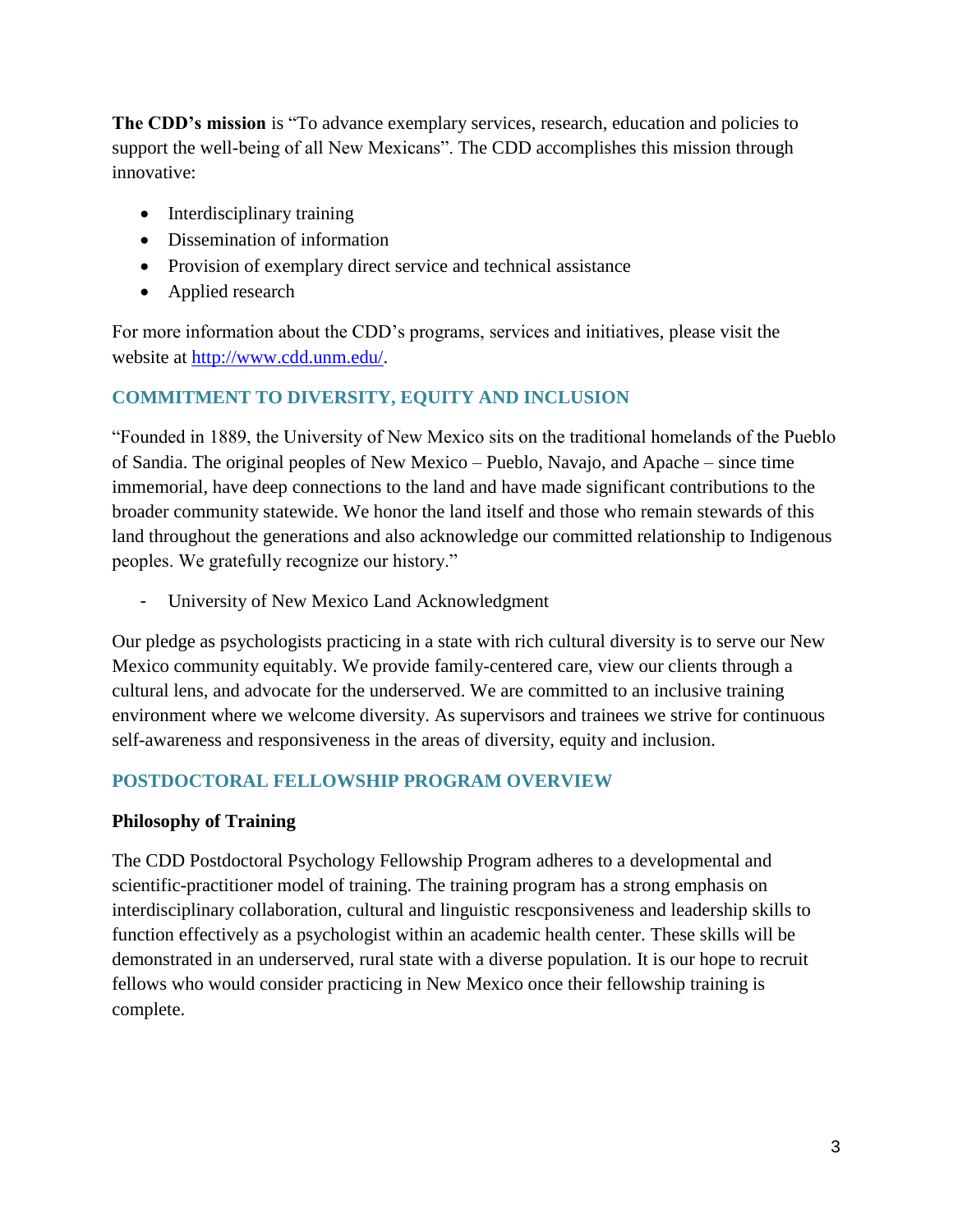**The CDD's mission** is "To advance exemplary services, research, education and policies to support the well-being of all New Mexicans". The CDD accomplishes this mission through innovative:

- Interdisciplinary training
- Dissemination of information
- Provision of exemplary direct service and technical assistance
- Applied research

For more information about the CDD's programs, services and initiatives, please visit the website at [http://www.cdd.unm.edu/.](http://www.cdd.unm.edu/)

# **COMMITMENT TO DIVERSITY, EQUITY AND INCLUSION**

"Founded in 1889, the University of New Mexico sits on the traditional homelands of the Pueblo of Sandia. The original peoples of New Mexico – Pueblo, Navajo, and Apache – since time immemorial, have deep connections to the land and have made significant contributions to the broader community statewide. We honor the land itself and those who remain stewards of this land throughout the generations and also acknowledge our committed relationship to Indigenous peoples. We gratefully recognize our history."

- University of New Mexico Land Acknowledgment

Our pledge as psychologists practicing in a state with rich cultural diversity is to serve our New Mexico community equitably. We provide family-centered care, view our clients through a cultural lens, and advocate for the underserved. We are committed to an inclusive training environment where we welcome diversity. As supervisors and trainees we strive for continuous self-awareness and responsiveness in the areas of diversity, equity and inclusion.

# **POSTDOCTORAL FELLOWSHIP PROGRAM OVERVIEW**

# **Philosophy of Training**

The CDD Postdoctoral Psychology Fellowship Program adheres to a developmental and scientific-practitioner model of training. The training program has a strong emphasis on interdisciplinary collaboration, cultural and linguistic rescponsiveness and leadership skills to function effectively as a psychologist within an academic health center. These skills will be demonstrated in an underserved, rural state with a diverse population. It is our hope to recruit fellows who would consider practicing in New Mexico once their fellowship training is complete.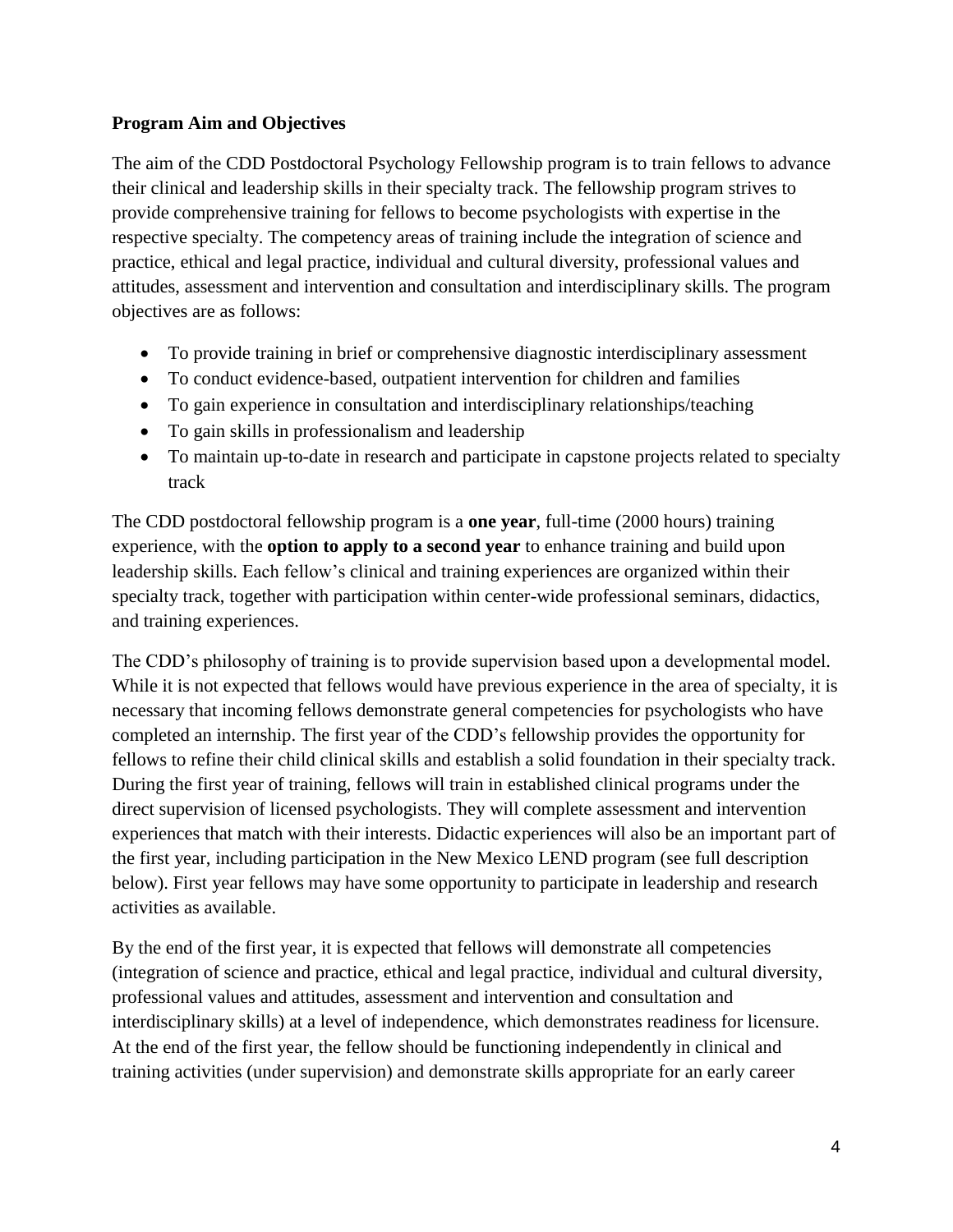# **Program Aim and Objectives**

The aim of the CDD Postdoctoral Psychology Fellowship program is to train fellows to advance their clinical and leadership skills in their specialty track. The fellowship program strives to provide comprehensive training for fellows to become psychologists with expertise in the respective specialty. The competency areas of training include the integration of science and practice, ethical and legal practice, individual and cultural diversity, professional values and attitudes, assessment and intervention and consultation and interdisciplinary skills. The program objectives are as follows:

- To provide training in brief or comprehensive diagnostic interdisciplinary assessment
- To conduct evidence-based, outpatient intervention for children and families
- To gain experience in consultation and interdisciplinary relationships/teaching
- To gain skills in professionalism and leadership
- To maintain up-to-date in research and participate in capstone projects related to specialty track

The CDD postdoctoral fellowship program is a **one year**, full-time (2000 hours) training experience, with the **option to apply to a second year** to enhance training and build upon leadership skills. Each fellow's clinical and training experiences are organized within their specialty track, together with participation within center-wide professional seminars, didactics, and training experiences.

The CDD's philosophy of training is to provide supervision based upon a developmental model. While it is not expected that fellows would have previous experience in the area of specialty, it is necessary that incoming fellows demonstrate general competencies for psychologists who have completed an internship. The first year of the CDD's fellowship provides the opportunity for fellows to refine their child clinical skills and establish a solid foundation in their specialty track. During the first year of training, fellows will train in established clinical programs under the direct supervision of licensed psychologists. They will complete assessment and intervention experiences that match with their interests. Didactic experiences will also be an important part of the first year, including participation in the New Mexico LEND program (see full description below). First year fellows may have some opportunity to participate in leadership and research activities as available.

By the end of the first year, it is expected that fellows will demonstrate all competencies (integration of science and practice, ethical and legal practice, individual and cultural diversity, professional values and attitudes, assessment and intervention and consultation and interdisciplinary skills) at a level of independence, which demonstrates readiness for licensure. At the end of the first year, the fellow should be functioning independently in clinical and training activities (under supervision) and demonstrate skills appropriate for an early career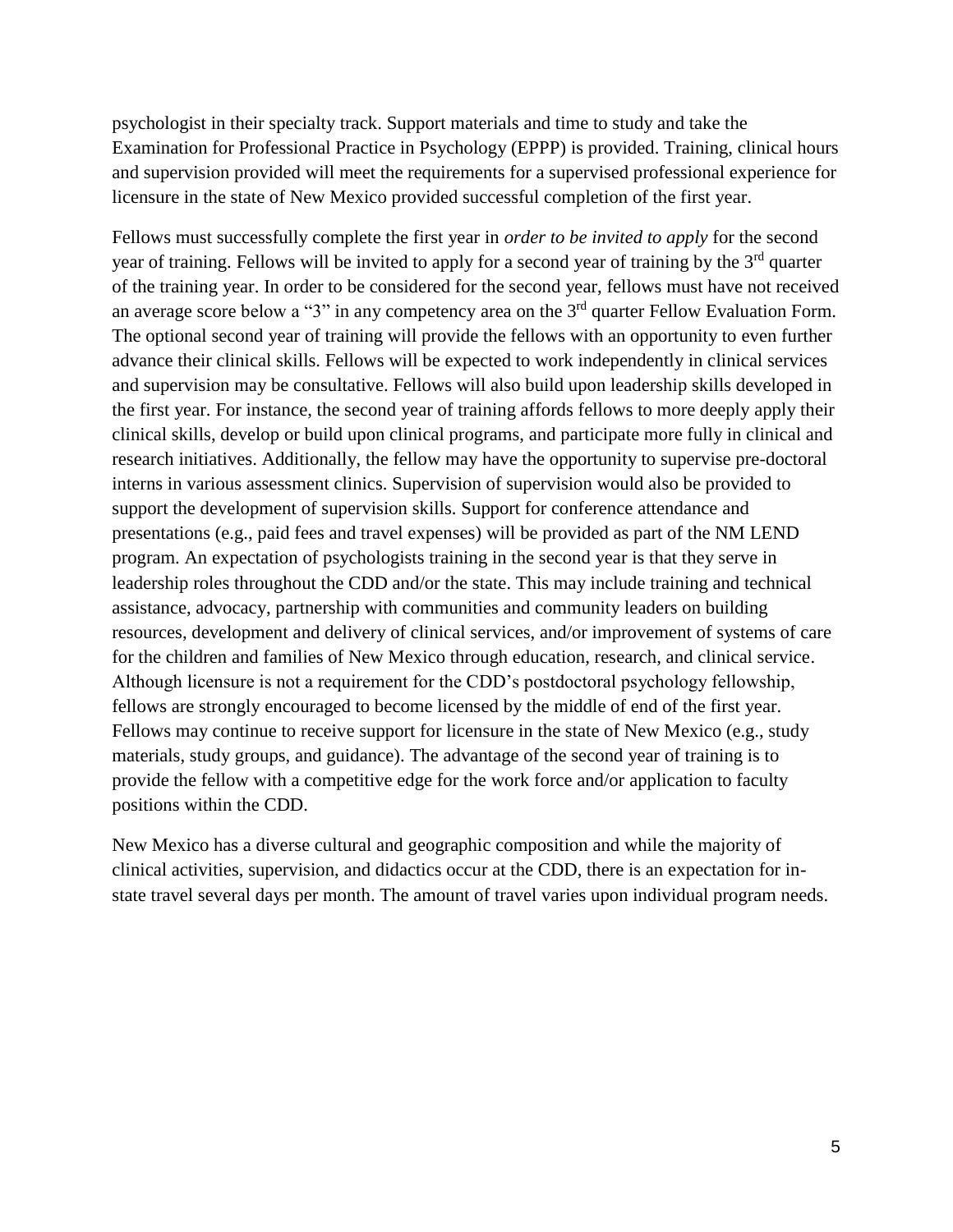psychologist in their specialty track. Support materials and time to study and take the Examination for Professional Practice in Psychology (EPPP) is provided. Training, clinical hours and supervision provided will meet the requirements for a supervised professional experience for licensure in the state of New Mexico provided successful completion of the first year.

Fellows must successfully complete the first year in *order to be invited to apply* for the second year of training. Fellows will be invited to apply for a second year of training by the 3<sup>rd</sup> quarter of the training year. In order to be considered for the second year, fellows must have not received an average score below a "3" in any competency area on the 3<sup>rd</sup> quarter Fellow Evaluation Form. The optional second year of training will provide the fellows with an opportunity to even further advance their clinical skills. Fellows will be expected to work independently in clinical services and supervision may be consultative. Fellows will also build upon leadership skills developed in the first year. For instance, the second year of training affords fellows to more deeply apply their clinical skills, develop or build upon clinical programs, and participate more fully in clinical and research initiatives. Additionally, the fellow may have the opportunity to supervise pre-doctoral interns in various assessment clinics. Supervision of supervision would also be provided to support the development of supervision skills. Support for conference attendance and presentations (e.g., paid fees and travel expenses) will be provided as part of the NM LEND program. An expectation of psychologists training in the second year is that they serve in leadership roles throughout the CDD and/or the state. This may include training and technical assistance, advocacy, partnership with communities and community leaders on building resources, development and delivery of clinical services, and/or improvement of systems of care for the children and families of New Mexico through education, research, and clinical service. Although licensure is not a requirement for the CDD's postdoctoral psychology fellowship, fellows are strongly encouraged to become licensed by the middle of end of the first year. Fellows may continue to receive support for licensure in the state of New Mexico (e.g., study materials, study groups, and guidance). The advantage of the second year of training is to provide the fellow with a competitive edge for the work force and/or application to faculty positions within the CDD.

New Mexico has a diverse cultural and geographic composition and while the majority of clinical activities, supervision, and didactics occur at the CDD, there is an expectation for instate travel several days per month. The amount of travel varies upon individual program needs.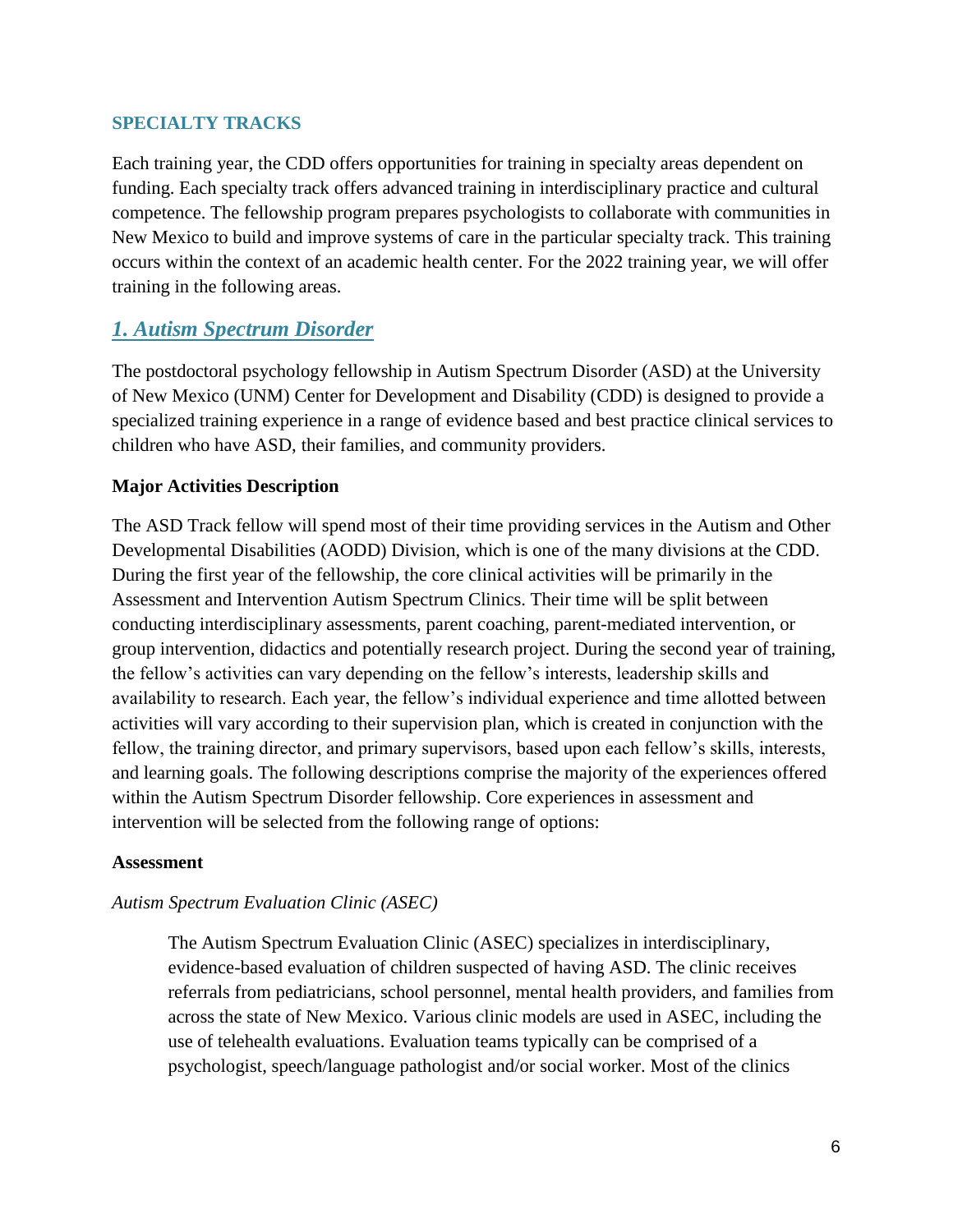## **SPECIALTY TRACKS**

Each training year, the CDD offers opportunities for training in specialty areas dependent on funding. Each specialty track offers advanced training in interdisciplinary practice and cultural competence. The fellowship program prepares psychologists to collaborate with communities in New Mexico to build and improve systems of care in the particular specialty track. This training occurs within the context of an academic health center. For the 2022 training year, we will offer training in the following areas.

# *1. Autism Spectrum Disorder*

The postdoctoral psychology fellowship in Autism Spectrum Disorder (ASD) at the University of New Mexico (UNM) Center for Development and Disability (CDD) is designed to provide a specialized training experience in a range of evidence based and best practice clinical services to children who have ASD, their families, and community providers.

## **Major Activities Description**

The ASD Track fellow will spend most of their time providing services in the Autism and Other Developmental Disabilities (AODD) Division, which is one of the many divisions at the CDD. During the first year of the fellowship, the core clinical activities will be primarily in the Assessment and Intervention Autism Spectrum Clinics. Their time will be split between conducting interdisciplinary assessments, parent coaching, parent-mediated intervention, or group intervention, didactics and potentially research project. During the second year of training, the fellow's activities can vary depending on the fellow's interests, leadership skills and availability to research. Each year, the fellow's individual experience and time allotted between activities will vary according to their supervision plan, which is created in conjunction with the fellow, the training director, and primary supervisors, based upon each fellow's skills, interests, and learning goals. The following descriptions comprise the majority of the experiences offered within the Autism Spectrum Disorder fellowship. Core experiences in assessment and intervention will be selected from the following range of options:

## **Assessment**

# *Autism Spectrum Evaluation Clinic (ASEC)*

The Autism Spectrum Evaluation Clinic (ASEC) specializes in interdisciplinary, evidence-based evaluation of children suspected of having ASD. The clinic receives referrals from pediatricians, school personnel, mental health providers, and families from across the state of New Mexico. Various clinic models are used in ASEC, including the use of telehealth evaluations. Evaluation teams typically can be comprised of a psychologist, speech/language pathologist and/or social worker. Most of the clinics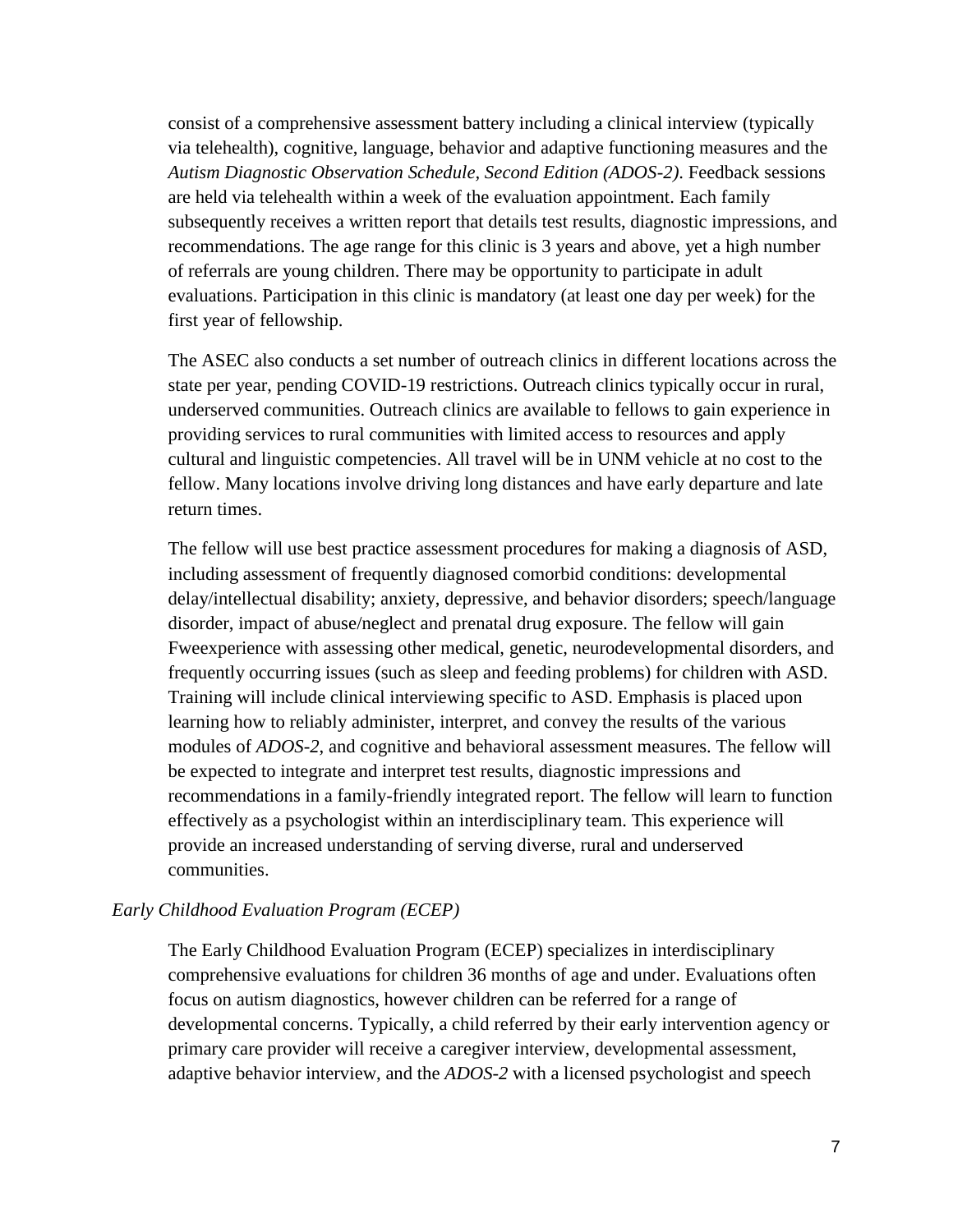consist of a comprehensive assessment battery including a clinical interview (typically via telehealth), cognitive, language, behavior and adaptive functioning measures and the *Autism Diagnostic Observation Schedule, Second Edition (ADOS-2)*. Feedback sessions are held via telehealth within a week of the evaluation appointment. Each family subsequently receives a written report that details test results, diagnostic impressions, and recommendations. The age range for this clinic is 3 years and above, yet a high number of referrals are young children. There may be opportunity to participate in adult evaluations. Participation in this clinic is mandatory (at least one day per week) for the first year of fellowship.

The ASEC also conducts a set number of outreach clinics in different locations across the state per year, pending COVID-19 restrictions. Outreach clinics typically occur in rural, underserved communities. Outreach clinics are available to fellows to gain experience in providing services to rural communities with limited access to resources and apply cultural and linguistic competencies. All travel will be in UNM vehicle at no cost to the fellow. Many locations involve driving long distances and have early departure and late return times.

The fellow will use best practice assessment procedures for making a diagnosis of ASD, including assessment of frequently diagnosed comorbid conditions: developmental delay/intellectual disability; anxiety, depressive, and behavior disorders; speech/language disorder, impact of abuse/neglect and prenatal drug exposure. The fellow will gain Fweexperience with assessing other medical, genetic, neurodevelopmental disorders, and frequently occurring issues (such as sleep and feeding problems) for children with ASD. Training will include clinical interviewing specific to ASD. Emphasis is placed upon learning how to reliably administer, interpret, and convey the results of the various modules of *ADOS-2*, and cognitive and behavioral assessment measures. The fellow will be expected to integrate and interpret test results, diagnostic impressions and recommendations in a family-friendly integrated report. The fellow will learn to function effectively as a psychologist within an interdisciplinary team. This experience will provide an increased understanding of serving diverse, rural and underserved communities.

#### *Early Childhood Evaluation Program (ECEP)*

The Early Childhood Evaluation Program (ECEP) specializes in interdisciplinary comprehensive evaluations for children 36 months of age and under. Evaluations often focus on autism diagnostics, however children can be referred for a range of developmental concerns. Typically, a child referred by their early intervention agency or primary care provider will receive a caregiver interview, developmental assessment, adaptive behavior interview, and the *ADOS-2* with a licensed psychologist and speech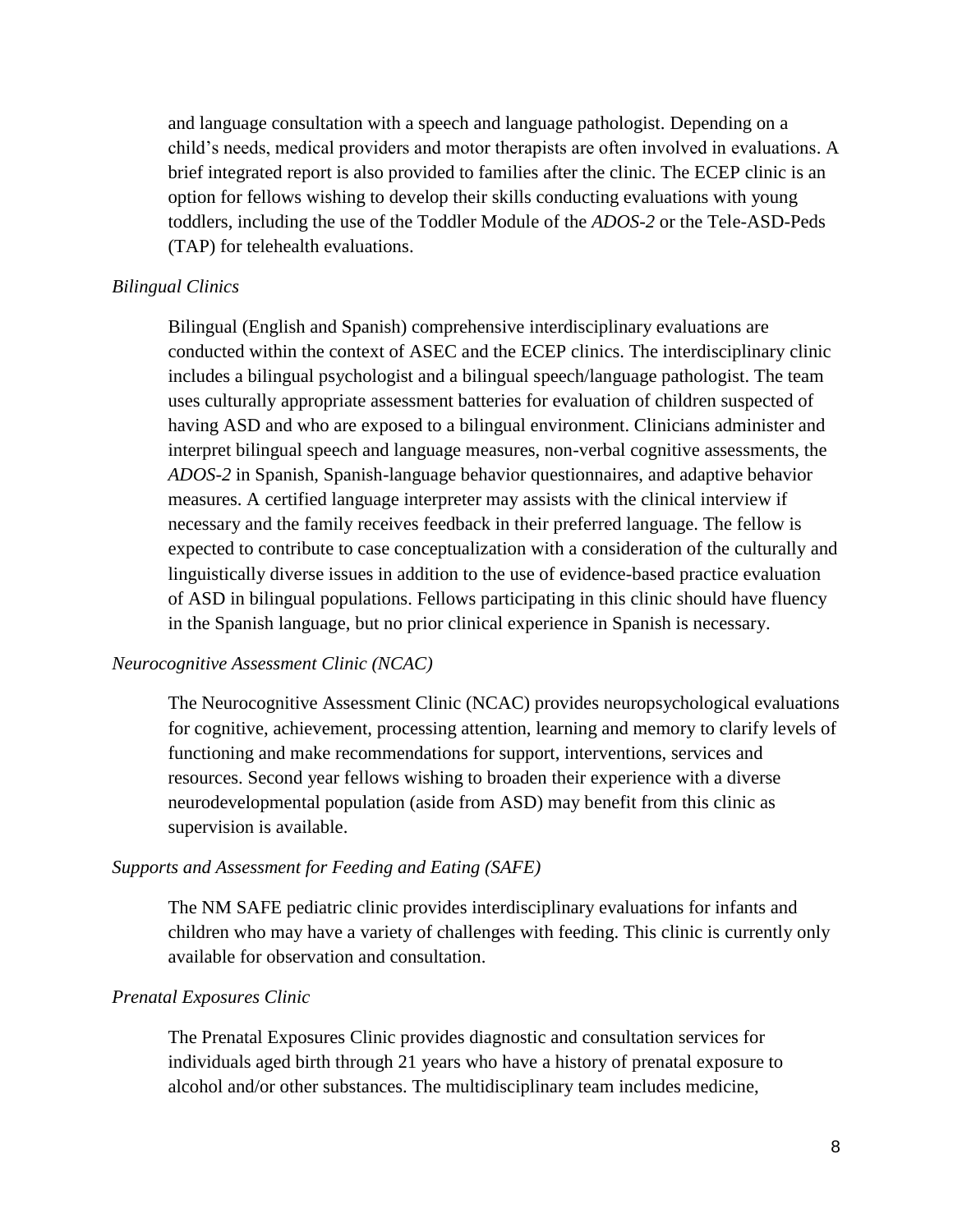and language consultation with a speech and language pathologist. Depending on a child's needs, medical providers and motor therapists are often involved in evaluations. A brief integrated report is also provided to families after the clinic. The ECEP clinic is an option for fellows wishing to develop their skills conducting evaluations with young toddlers, including the use of the Toddler Module of the *ADOS-2* or the Tele-ASD-Peds (TAP) for telehealth evaluations.

#### *Bilingual Clinics*

Bilingual (English and Spanish) comprehensive interdisciplinary evaluations are conducted within the context of ASEC and the ECEP clinics. The interdisciplinary clinic includes a bilingual psychologist and a bilingual speech/language pathologist. The team uses culturally appropriate assessment batteries for evaluation of children suspected of having ASD and who are exposed to a bilingual environment. Clinicians administer and interpret bilingual speech and language measures, non-verbal cognitive assessments, the *ADOS-2* in Spanish, Spanish-language behavior questionnaires, and adaptive behavior measures. A certified language interpreter may assists with the clinical interview if necessary and the family receives feedback in their preferred language. The fellow is expected to contribute to case conceptualization with a consideration of the culturally and linguistically diverse issues in addition to the use of evidence-based practice evaluation of ASD in bilingual populations. Fellows participating in this clinic should have fluency in the Spanish language, but no prior clinical experience in Spanish is necessary.

#### *Neurocognitive Assessment Clinic (NCAC)*

The Neurocognitive Assessment Clinic (NCAC) provides neuropsychological evaluations for cognitive, achievement, processing attention, learning and memory to clarify levels of functioning and make recommendations for support, interventions, services and resources. Second year fellows wishing to broaden their experience with a diverse neurodevelopmental population (aside from ASD) may benefit from this clinic as supervision is available.

#### *Supports and Assessment for Feeding and Eating (SAFE)*

The NM SAFE pediatric clinic provides interdisciplinary evaluations for infants and children who may have a variety of challenges with feeding. This clinic is currently only available for observation and consultation.

#### *Prenatal Exposures Clinic*

The Prenatal Exposures Clinic provides diagnostic and consultation services for individuals aged birth through 21 years who have a history of prenatal exposure to alcohol and/or other substances. The multidisciplinary team includes medicine,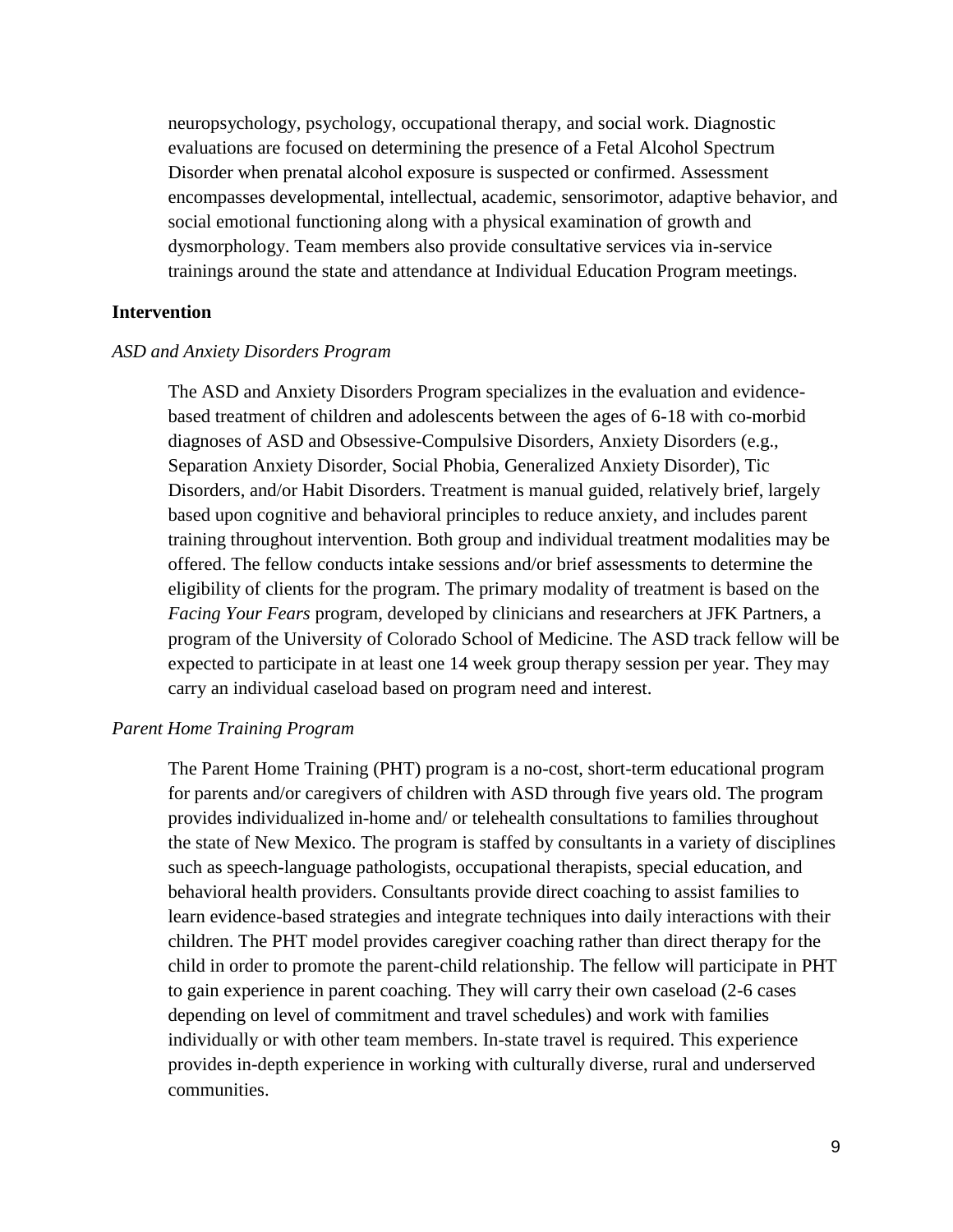neuropsychology, psychology, occupational therapy, and social work. Diagnostic evaluations are focused on determining the presence of a Fetal Alcohol Spectrum Disorder when prenatal alcohol exposure is suspected or confirmed. Assessment encompasses developmental, intellectual, academic, sensorimotor, adaptive behavior, and social emotional functioning along with a physical examination of growth and dysmorphology. Team members also provide consultative services via in-service trainings around the state and attendance at Individual Education Program meetings.

#### **Intervention**

#### *ASD and Anxiety Disorders Program*

The ASD and Anxiety Disorders Program specializes in the evaluation and evidencebased treatment of children and adolescents between the ages of 6-18 with co-morbid diagnoses of ASD and Obsessive-Compulsive Disorders, Anxiety Disorders (e.g., Separation Anxiety Disorder, Social Phobia, Generalized Anxiety Disorder), Tic Disorders, and/or Habit Disorders. Treatment is manual guided, relatively brief, largely based upon cognitive and behavioral principles to reduce anxiety, and includes parent training throughout intervention. Both group and individual treatment modalities may be offered. The fellow conducts intake sessions and/or brief assessments to determine the eligibility of clients for the program. The primary modality of treatment is based on the *Facing Your Fears* program, developed by clinicians and researchers at JFK Partners, a program of the University of Colorado School of Medicine. The ASD track fellow will be expected to participate in at least one 14 week group therapy session per year. They may carry an individual caseload based on program need and interest.

#### *Parent Home Training Program*

The Parent Home Training (PHT) program is a no-cost, short-term educational program for parents and/or caregivers of children with ASD through five years old. The program provides individualized in-home and/ or telehealth consultations to families throughout the state of New Mexico. The program is staffed by consultants in a variety of disciplines such as speech-language pathologists, occupational therapists, special education, and behavioral health providers. Consultants provide direct coaching to assist families to learn evidence-based strategies and integrate techniques into daily interactions with their children. The PHT model provides caregiver coaching rather than direct therapy for the child in order to promote the parent-child relationship. The fellow will participate in PHT to gain experience in parent coaching. They will carry their own caseload (2-6 cases depending on level of commitment and travel schedules) and work with families individually or with other team members. In-state travel is required. This experience provides in-depth experience in working with culturally diverse, rural and underserved communities.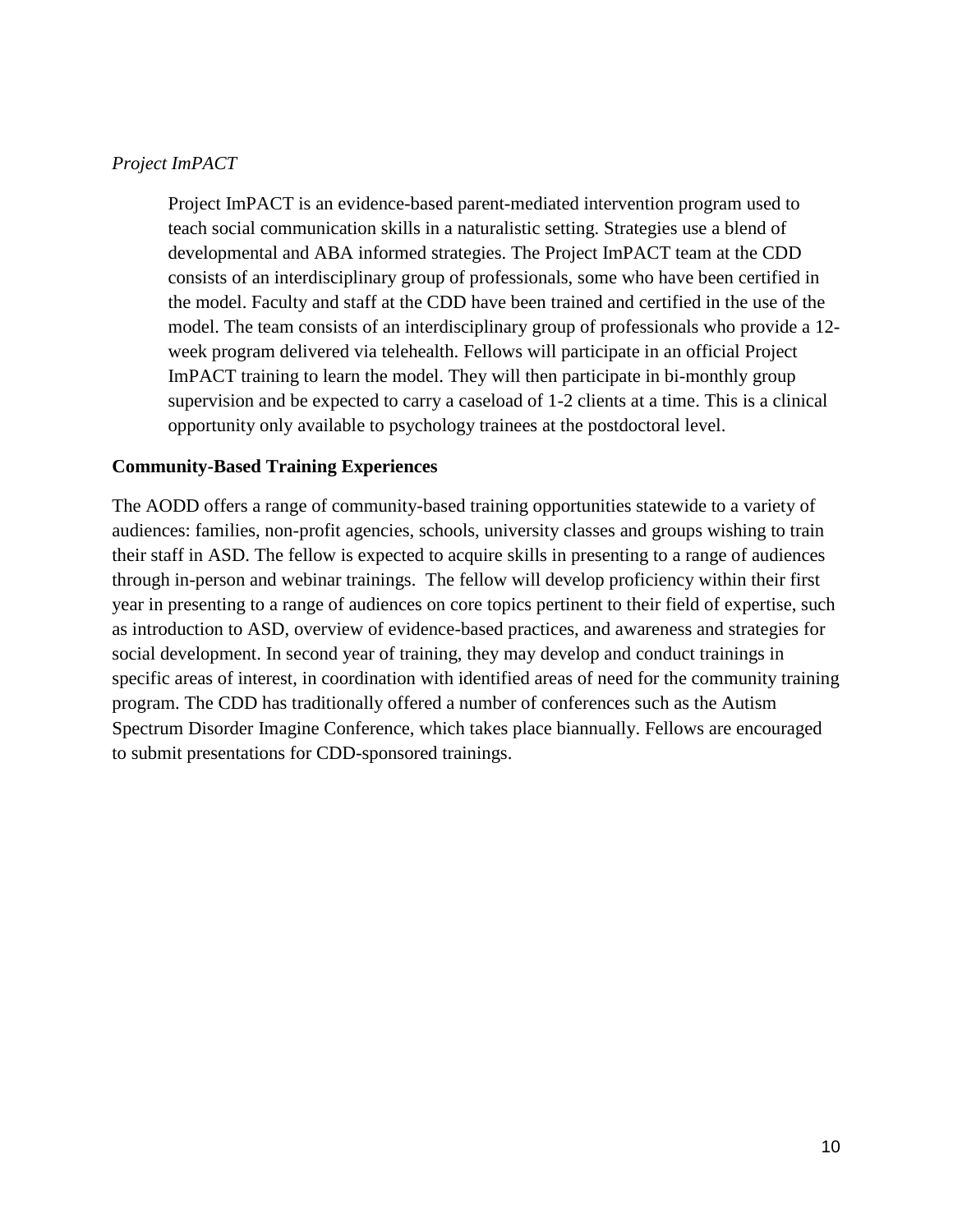## *Project ImPACT*

Project ImPACT is an evidence-based parent-mediated intervention program used to teach social communication skills in a naturalistic setting. Strategies use a blend of developmental and ABA informed strategies. The Project ImPACT team at the CDD consists of an interdisciplinary group of professionals, some who have been certified in the model. Faculty and staff at the CDD have been trained and certified in the use of the model. The team consists of an interdisciplinary group of professionals who provide a 12 week program delivered via telehealth. Fellows will participate in an official Project ImPACT training to learn the model. They will then participate in bi-monthly group supervision and be expected to carry a caseload of 1-2 clients at a time. This is a clinical opportunity only available to psychology trainees at the postdoctoral level.

## **Community-Based Training Experiences**

The AODD offers a range of community-based training opportunities statewide to a variety of audiences: families, non-profit agencies, schools, university classes and groups wishing to train their staff in ASD. The fellow is expected to acquire skills in presenting to a range of audiences through in-person and webinar trainings. The fellow will develop proficiency within their first year in presenting to a range of audiences on core topics pertinent to their field of expertise, such as introduction to ASD, overview of evidence-based practices, and awareness and strategies for social development. In second year of training, they may develop and conduct trainings in specific areas of interest, in coordination with identified areas of need for the community training program. The CDD has traditionally offered a number of conferences such as the Autism Spectrum Disorder Imagine Conference, which takes place biannually. Fellows are encouraged to submit presentations for CDD-sponsored trainings.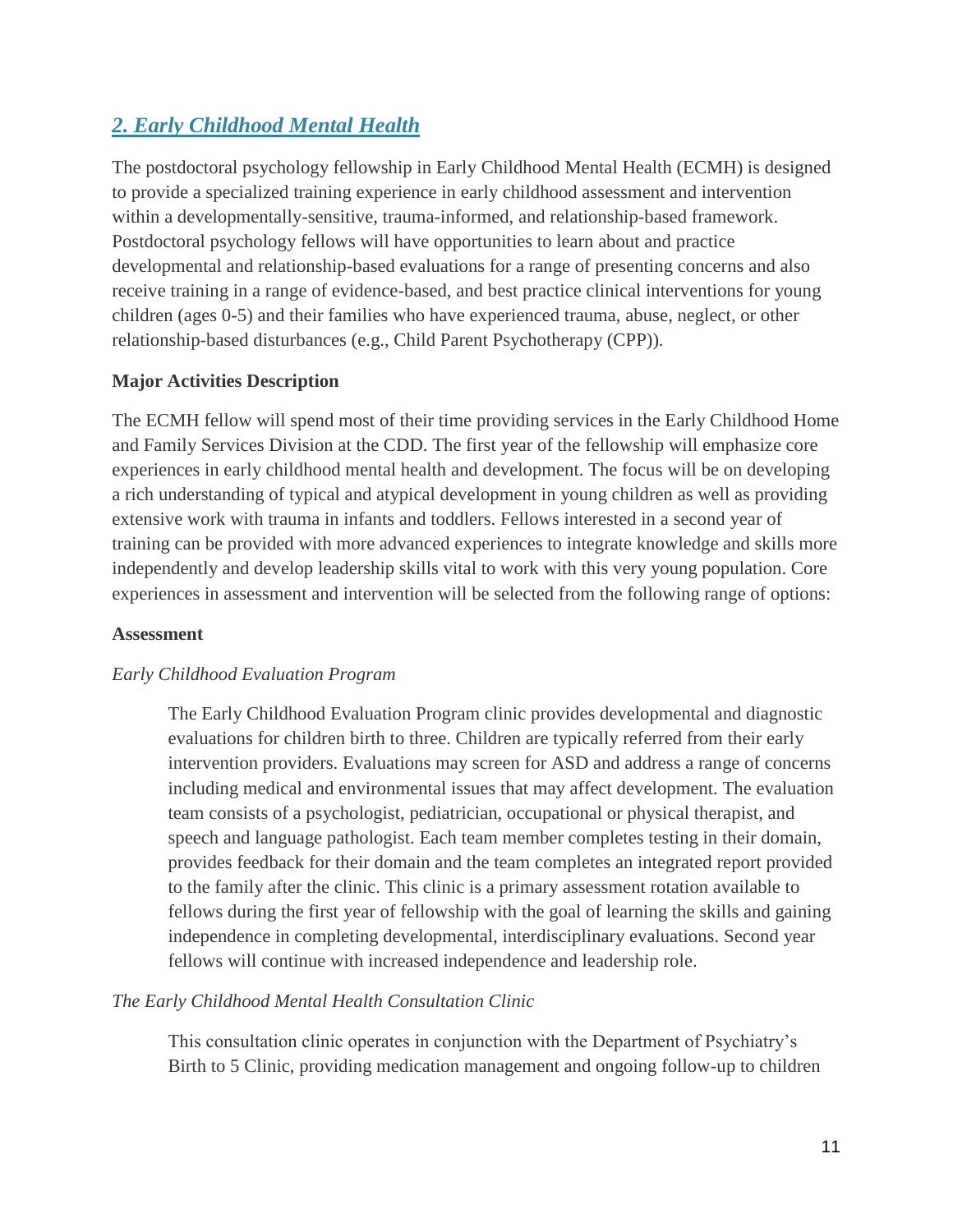# *2. Early Childhood Mental Health*

The postdoctoral psychology fellowship in Early Childhood Mental Health (ECMH) is designed to provide a specialized training experience in early childhood assessment and intervention within a developmentally-sensitive, trauma-informed, and relationship-based framework. Postdoctoral psychology fellows will have opportunities to learn about and practice developmental and relationship-based evaluations for a range of presenting concerns and also receive training in a range of evidence-based, and best practice clinical interventions for young children (ages 0-5) and their families who have experienced trauma, abuse, neglect, or other relationship-based disturbances (e.g., Child Parent Psychotherapy (CPP)).

# **Major Activities Description**

The ECMH fellow will spend most of their time providing services in the Early Childhood Home and Family Services Division at the CDD. The first year of the fellowship will emphasize core experiences in early childhood mental health and development. The focus will be on developing a rich understanding of typical and atypical development in young children as well as providing extensive work with trauma in infants and toddlers. Fellows interested in a second year of training can be provided with more advanced experiences to integrate knowledge and skills more independently and develop leadership skills vital to work with this very young population. Core experiences in assessment and intervention will be selected from the following range of options:

## **Assessment**

## *Early Childhood Evaluation Program*

The Early Childhood Evaluation Program clinic provides developmental and diagnostic evaluations for children birth to three. Children are typically referred from their early intervention providers. Evaluations may screen for ASD and address a range of concerns including medical and environmental issues that may affect development. The evaluation team consists of a psychologist, pediatrician, occupational or physical therapist, and speech and language pathologist. Each team member completes testing in their domain, provides feedback for their domain and the team completes an integrated report provided to the family after the clinic. This clinic is a primary assessment rotation available to fellows during the first year of fellowship with the goal of learning the skills and gaining independence in completing developmental, interdisciplinary evaluations. Second year fellows will continue with increased independence and leadership role.

## *The Early Childhood Mental Health Consultation Clinic*

This consultation clinic operates in conjunction with the Department of Psychiatry's Birth to 5 Clinic, providing medication management and ongoing follow-up to children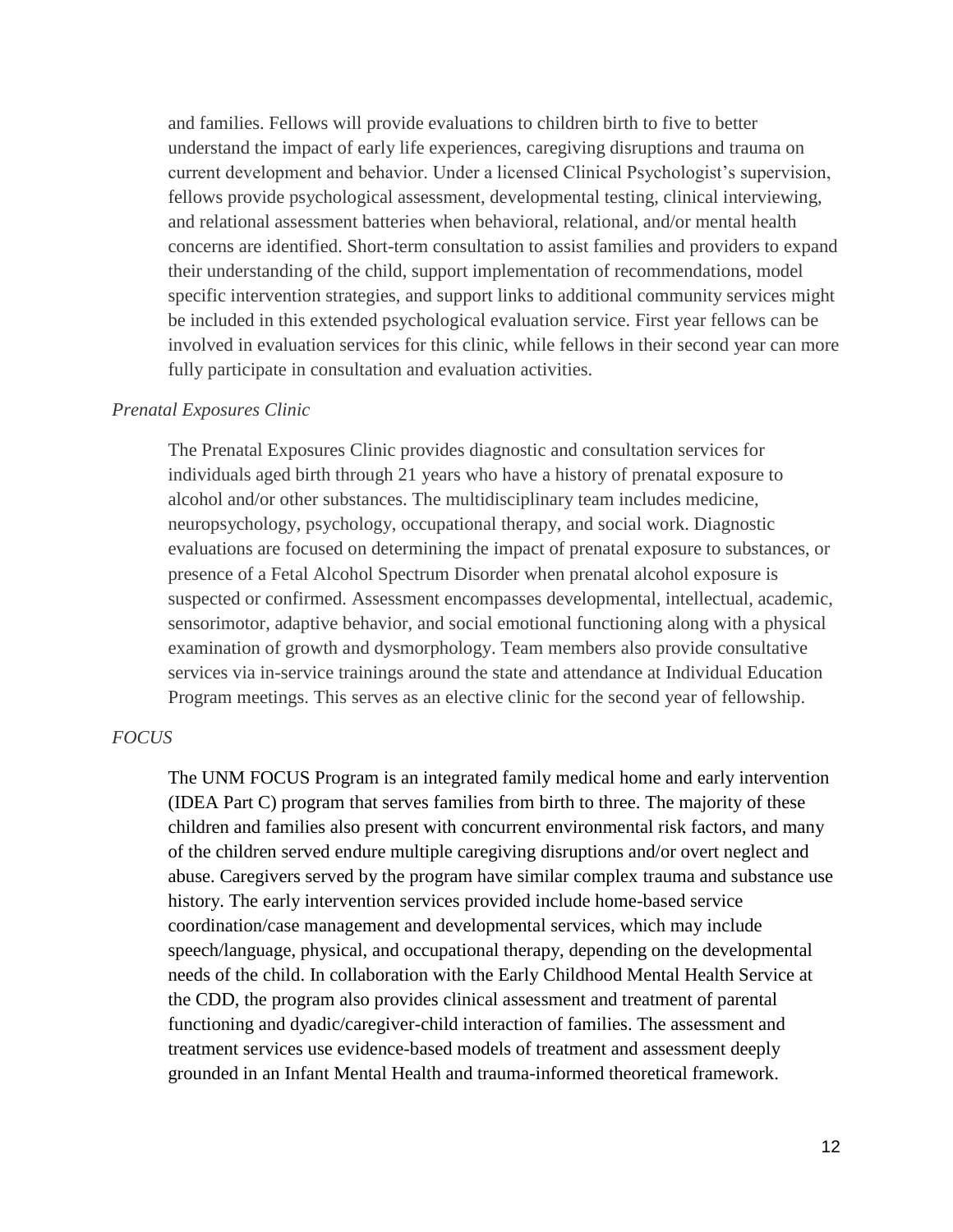and families. Fellows will provide evaluations to children birth to five to better understand the impact of early life experiences, caregiving disruptions and trauma on current development and behavior. Under a licensed Clinical Psychologist's supervision, fellows provide psychological assessment, developmental testing, clinical interviewing, and relational assessment batteries when behavioral, relational, and/or mental health concerns are identified. Short-term consultation to assist families and providers to expand their understanding of the child, support implementation of recommendations, model specific intervention strategies, and support links to additional community services might be included in this extended psychological evaluation service. First year fellows can be involved in evaluation services for this clinic, while fellows in their second year can more fully participate in consultation and evaluation activities.

#### *Prenatal Exposures Clinic*

The Prenatal Exposures Clinic provides diagnostic and consultation services for individuals aged birth through 21 years who have a history of prenatal exposure to alcohol and/or other substances. The multidisciplinary team includes medicine, neuropsychology, psychology, occupational therapy, and social work. Diagnostic evaluations are focused on determining the impact of prenatal exposure to substances, or presence of a Fetal Alcohol Spectrum Disorder when prenatal alcohol exposure is suspected or confirmed. Assessment encompasses developmental, intellectual, academic, sensorimotor, adaptive behavior, and social emotional functioning along with a physical examination of growth and dysmorphology. Team members also provide consultative services via in-service trainings around the state and attendance at Individual Education Program meetings. This serves as an elective clinic for the second year of fellowship.

#### *FOCUS*

The UNM FOCUS Program is an integrated family medical home and early intervention (IDEA Part C) program that serves families from birth to three. The majority of these children and families also present with concurrent environmental risk factors, and many of the children served endure multiple caregiving disruptions and/or overt neglect and abuse. Caregivers served by the program have similar complex trauma and substance use history. The early intervention services provided include home-based service coordination/case management and developmental services, which may include speech/language, physical, and occupational therapy, depending on the developmental needs of the child. In collaboration with the Early Childhood Mental Health Service at the CDD, the program also provides clinical assessment and treatment of parental functioning and dyadic/caregiver-child interaction of families. The assessment and treatment services use evidence-based models of treatment and assessment deeply grounded in an Infant Mental Health and trauma-informed theoretical framework.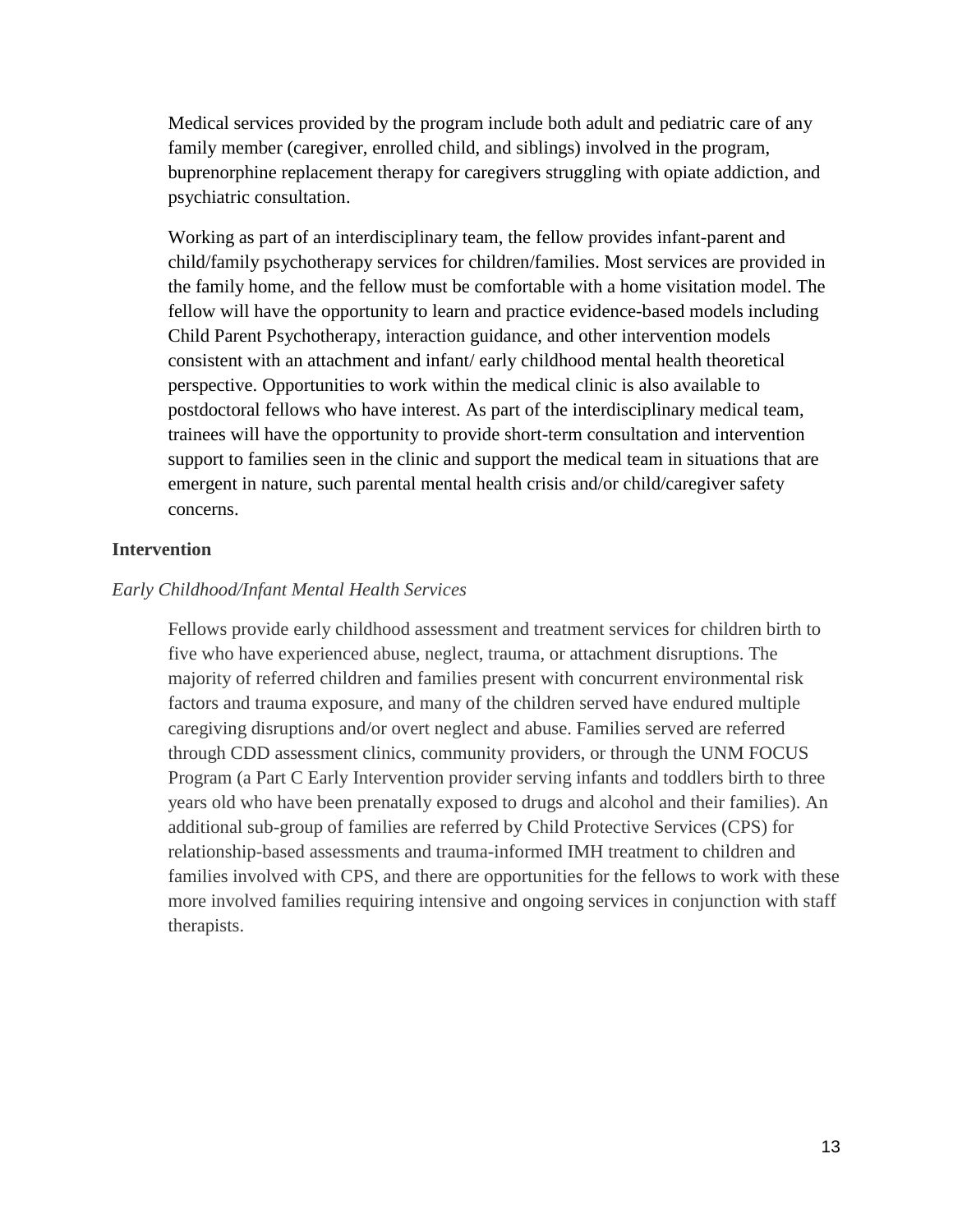Medical services provided by the program include both adult and pediatric care of any family member (caregiver, enrolled child, and siblings) involved in the program, buprenorphine replacement therapy for caregivers struggling with opiate addiction, and psychiatric consultation.

Working as part of an interdisciplinary team, the fellow provides infant-parent and child/family psychotherapy services for children/families. Most services are provided in the family home, and the fellow must be comfortable with a home visitation model. The fellow will have the opportunity to learn and practice evidence-based models including Child Parent Psychotherapy, interaction guidance, and other intervention models consistent with an attachment and infant/ early childhood mental health theoretical perspective. Opportunities to work within the medical clinic is also available to postdoctoral fellows who have interest. As part of the interdisciplinary medical team, trainees will have the opportunity to provide short-term consultation and intervention support to families seen in the clinic and support the medical team in situations that are emergent in nature, such parental mental health crisis and/or child/caregiver safety concerns.

## **Intervention**

#### *Early Childhood/Infant Mental Health Services*

Fellows provide early childhood assessment and treatment services for children birth to five who have experienced abuse, neglect, trauma, or attachment disruptions. The majority of referred children and families present with concurrent environmental risk factors and trauma exposure, and many of the children served have endured multiple caregiving disruptions and/or overt neglect and abuse. Families served are referred through CDD assessment clinics, community providers, or through the UNM FOCUS Program (a Part C Early Intervention provider serving infants and toddlers birth to three years old who have been prenatally exposed to drugs and alcohol and their families). An additional sub-group of families are referred by Child Protective Services (CPS) for relationship-based assessments and trauma-informed IMH treatment to children and families involved with CPS, and there are opportunities for the fellows to work with these more involved families requiring intensive and ongoing services in conjunction with staff therapists.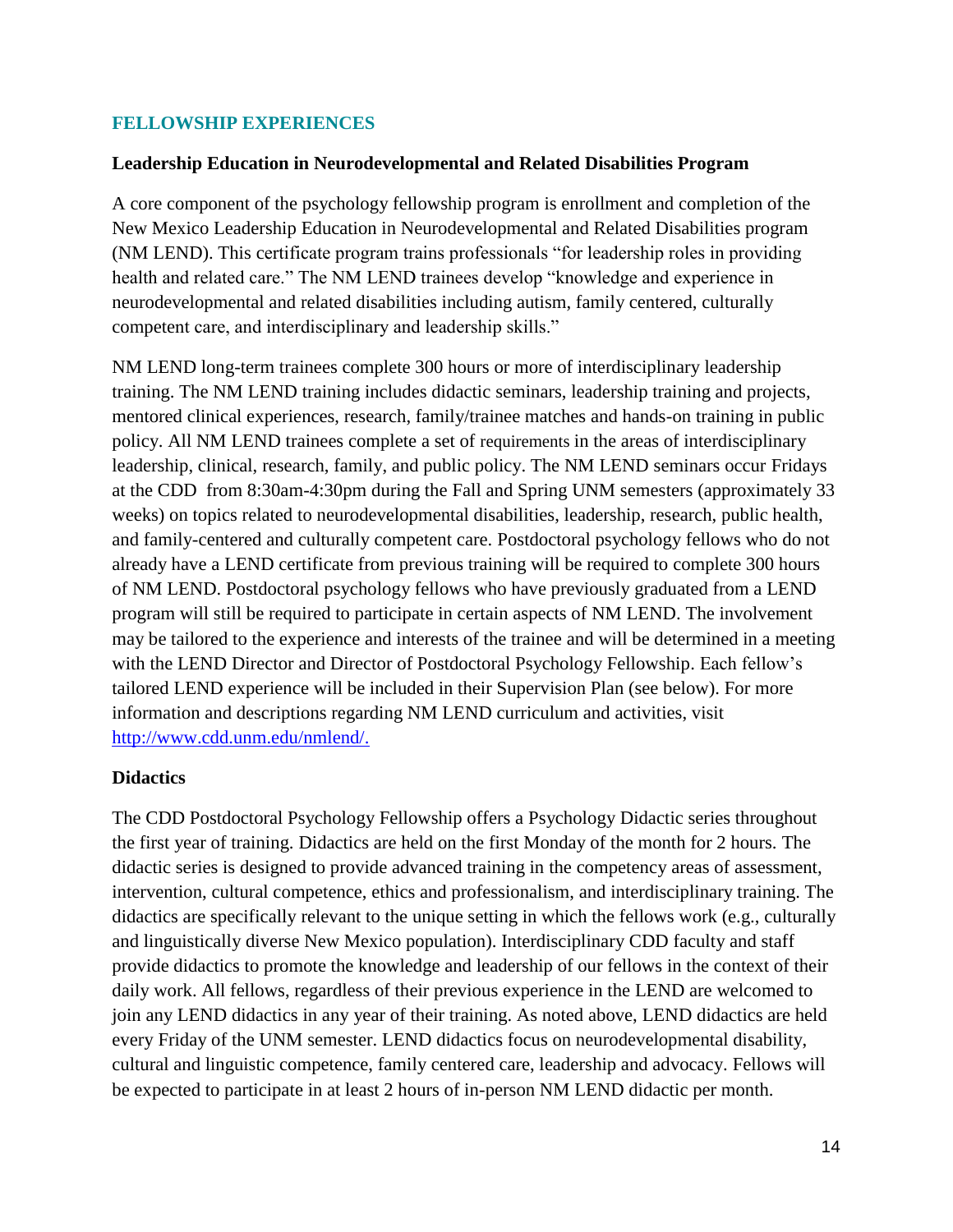## **FELLOWSHIP EXPERIENCES**

### **Leadership Education in Neurodevelopmental and Related Disabilities Program**

A core component of the psychology fellowship program is enrollment and completion of the New Mexico Leadership Education in Neurodevelopmental and Related Disabilities program (NM LEND). This certificate program trains professionals "for leadership roles in providing health and related care." The NM LEND trainees develop "knowledge and experience in neurodevelopmental and related disabilities including autism, family centered, culturally competent care, and interdisciplinary and leadership skills."

NM LEND long-term trainees complete 300 hours or more of interdisciplinary leadership training. The NM LEND training includes didactic seminars, leadership training and projects, mentored clinical experiences, research, family/trainee matches and hands-on training in public policy. All NM LEND trainees complete a set of requirements in the areas of interdisciplinary leadership, clinical, research, family, and public policy. The NM LEND seminars occur Fridays at the CDD from 8:30am-4:30pm during the Fall and Spring UNM semesters (approximately 33 weeks) on topics related to neurodevelopmental disabilities, leadership, research, public health, and family-centered and culturally competent care. Postdoctoral psychology fellows who do not already have a LEND certificate from previous training will be required to complete 300 hours of NM LEND. Postdoctoral psychology fellows who have previously graduated from a LEND program will still be required to participate in certain aspects of NM LEND. The involvement may be tailored to the experience and interests of the trainee and will be determined in a meeting with the LEND Director and Director of Postdoctoral Psychology Fellowship. Each fellow's tailored LEND experience will be included in their Supervision Plan (see below). For more information and descriptions regarding NM LEND curriculum and activities, visit [http://www.cdd.unm.edu/nmlend/.](http://www.cdd.unm.edu/nmlend/)

## **Didactics**

The CDD Postdoctoral Psychology Fellowship offers a Psychology Didactic series throughout the first year of training. Didactics are held on the first Monday of the month for 2 hours. The didactic series is designed to provide advanced training in the competency areas of assessment, intervention, cultural competence, ethics and professionalism, and interdisciplinary training. The didactics are specifically relevant to the unique setting in which the fellows work (e.g., culturally and linguistically diverse New Mexico population). Interdisciplinary CDD faculty and staff provide didactics to promote the knowledge and leadership of our fellows in the context of their daily work. All fellows, regardless of their previous experience in the LEND are welcomed to join any LEND didactics in any year of their training. As noted above, LEND didactics are held every Friday of the UNM semester. LEND didactics focus on neurodevelopmental disability, cultural and linguistic competence, family centered care, leadership and advocacy. Fellows will be expected to participate in at least 2 hours of in-person NM LEND didactic per month.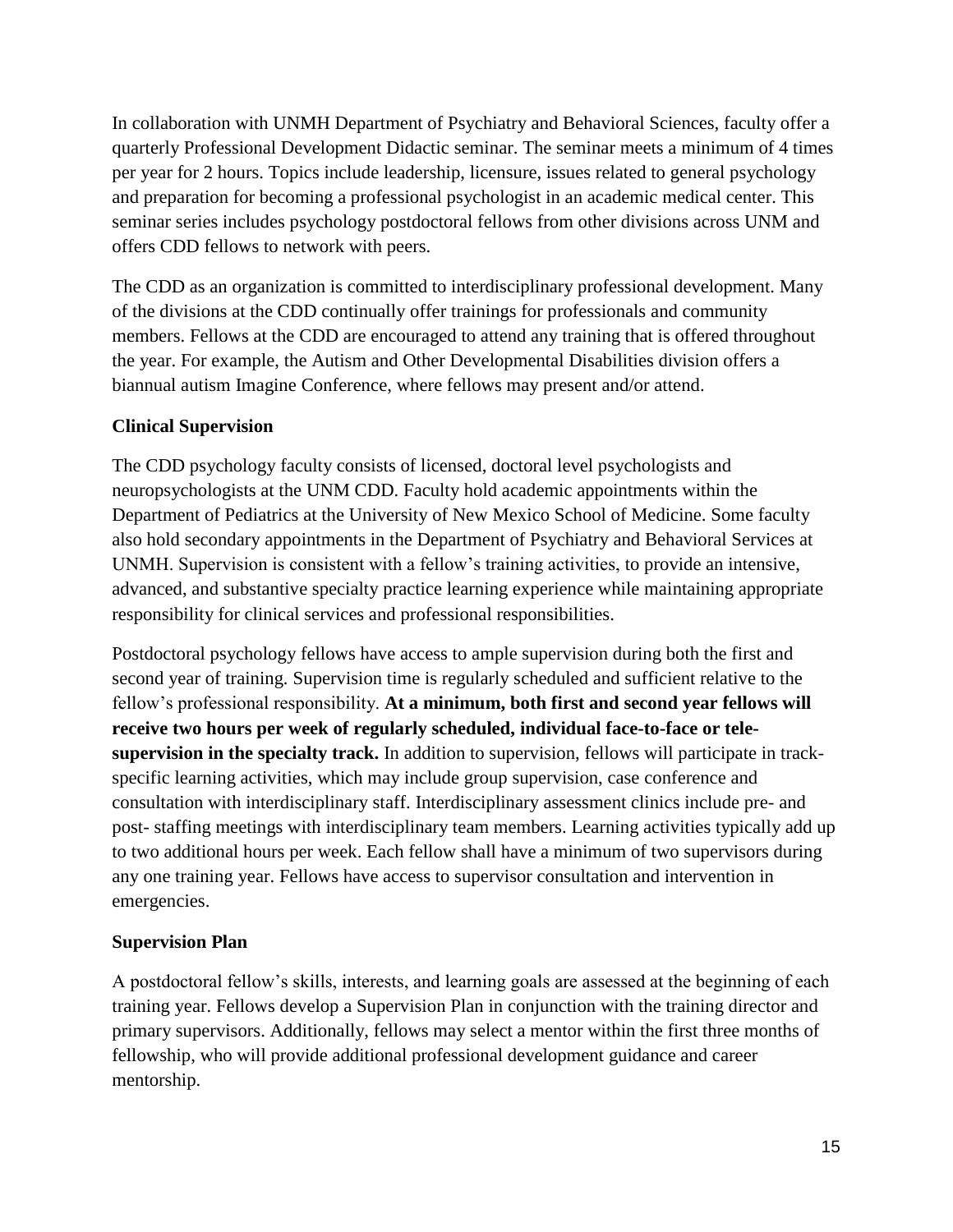In collaboration with UNMH Department of Psychiatry and Behavioral Sciences, faculty offer a quarterly Professional Development Didactic seminar. The seminar meets a minimum of 4 times per year for 2 hours. Topics include leadership, licensure, issues related to general psychology and preparation for becoming a professional psychologist in an academic medical center. This seminar series includes psychology postdoctoral fellows from other divisions across UNM and offers CDD fellows to network with peers.

The CDD as an organization is committed to interdisciplinary professional development. Many of the divisions at the CDD continually offer trainings for professionals and community members. Fellows at the CDD are encouraged to attend any training that is offered throughout the year. For example, the Autism and Other Developmental Disabilities division offers a biannual autism Imagine Conference, where fellows may present and/or attend.

# **Clinical Supervision**

The CDD psychology faculty consists of licensed, doctoral level psychologists and neuropsychologists at the UNM CDD. Faculty hold academic appointments within the Department of Pediatrics at the University of New Mexico School of Medicine. Some faculty also hold secondary appointments in the Department of Psychiatry and Behavioral Services at UNMH. Supervision is consistent with a fellow's training activities, to provide an intensive, advanced, and substantive specialty practice learning experience while maintaining appropriate responsibility for clinical services and professional responsibilities.

Postdoctoral psychology fellows have access to ample supervision during both the first and second year of training. Supervision time is regularly scheduled and sufficient relative to the fellow's professional responsibility. **At a minimum, both first and second year fellows will receive two hours per week of regularly scheduled, individual face-to-face or telesupervision in the specialty track.** In addition to supervision, fellows will participate in trackspecific learning activities, which may include group supervision, case conference and consultation with interdisciplinary staff. Interdisciplinary assessment clinics include pre- and post- staffing meetings with interdisciplinary team members. Learning activities typically add up to two additional hours per week. Each fellow shall have a minimum of two supervisors during any one training year. Fellows have access to supervisor consultation and intervention in emergencies.

# **Supervision Plan**

A postdoctoral fellow's skills, interests, and learning goals are assessed at the beginning of each training year. Fellows develop a Supervision Plan in conjunction with the training director and primary supervisors. Additionally, fellows may select a mentor within the first three months of fellowship, who will provide additional professional development guidance and career mentorship.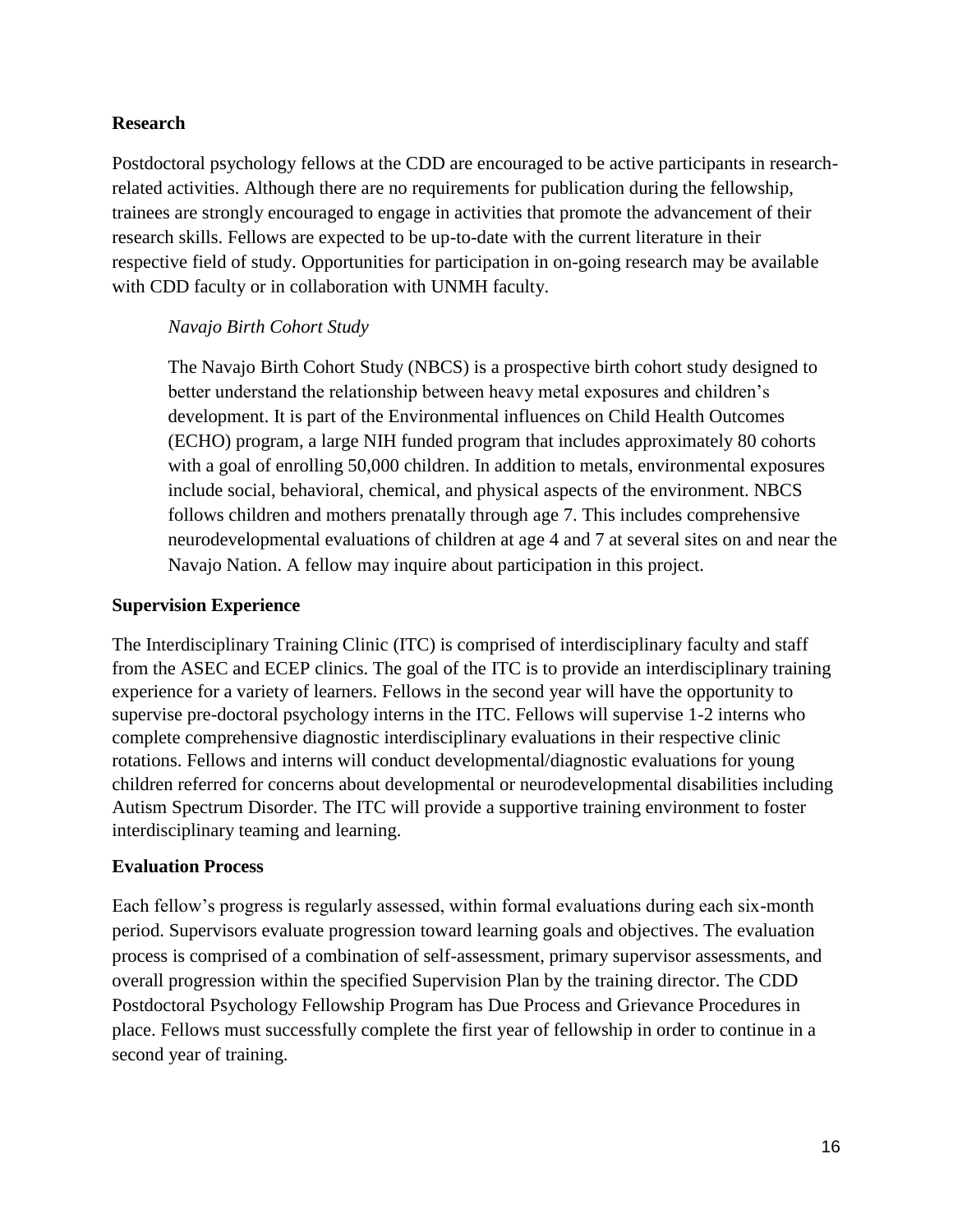## **Research**

Postdoctoral psychology fellows at the CDD are encouraged to be active participants in researchrelated activities. Although there are no requirements for publication during the fellowship, trainees are strongly encouraged to engage in activities that promote the advancement of their research skills. Fellows are expected to be up-to-date with the current literature in their respective field of study. Opportunities for participation in on-going research may be available with CDD faculty or in collaboration with UNMH faculty.

## *Navajo Birth Cohort Study*

The Navajo Birth Cohort Study (NBCS) is a prospective birth cohort study designed to better understand the relationship between heavy metal exposures and children's development. It is part of the Environmental influences on Child Health Outcomes (ECHO) program, a large NIH funded program that includes approximately 80 cohorts with a goal of enrolling 50,000 children. In addition to metals, environmental exposures include social, behavioral, chemical, and physical aspects of the environment. NBCS follows children and mothers prenatally through age 7. This includes comprehensive neurodevelopmental evaluations of children at age 4 and 7 at several sites on and near the Navajo Nation. A fellow may inquire about participation in this project.

## **Supervision Experience**

The Interdisciplinary Training Clinic (ITC) is comprised of interdisciplinary faculty and staff from the ASEC and ECEP clinics. The goal of the ITC is to provide an interdisciplinary training experience for a variety of learners. Fellows in the second year will have the opportunity to supervise pre-doctoral psychology interns in the ITC. Fellows will supervise 1-2 interns who complete comprehensive diagnostic interdisciplinary evaluations in their respective clinic rotations. Fellows and interns will conduct developmental/diagnostic evaluations for young children referred for concerns about developmental or neurodevelopmental disabilities including Autism Spectrum Disorder. The ITC will provide a supportive training environment to foster interdisciplinary teaming and learning.

## **Evaluation Process**

Each fellow's progress is regularly assessed, within formal evaluations during each six-month period. Supervisors evaluate progression toward learning goals and objectives. The evaluation process is comprised of a combination of self-assessment, primary supervisor assessments, and overall progression within the specified Supervision Plan by the training director. The CDD Postdoctoral Psychology Fellowship Program has Due Process and Grievance Procedures in place. Fellows must successfully complete the first year of fellowship in order to continue in a second year of training.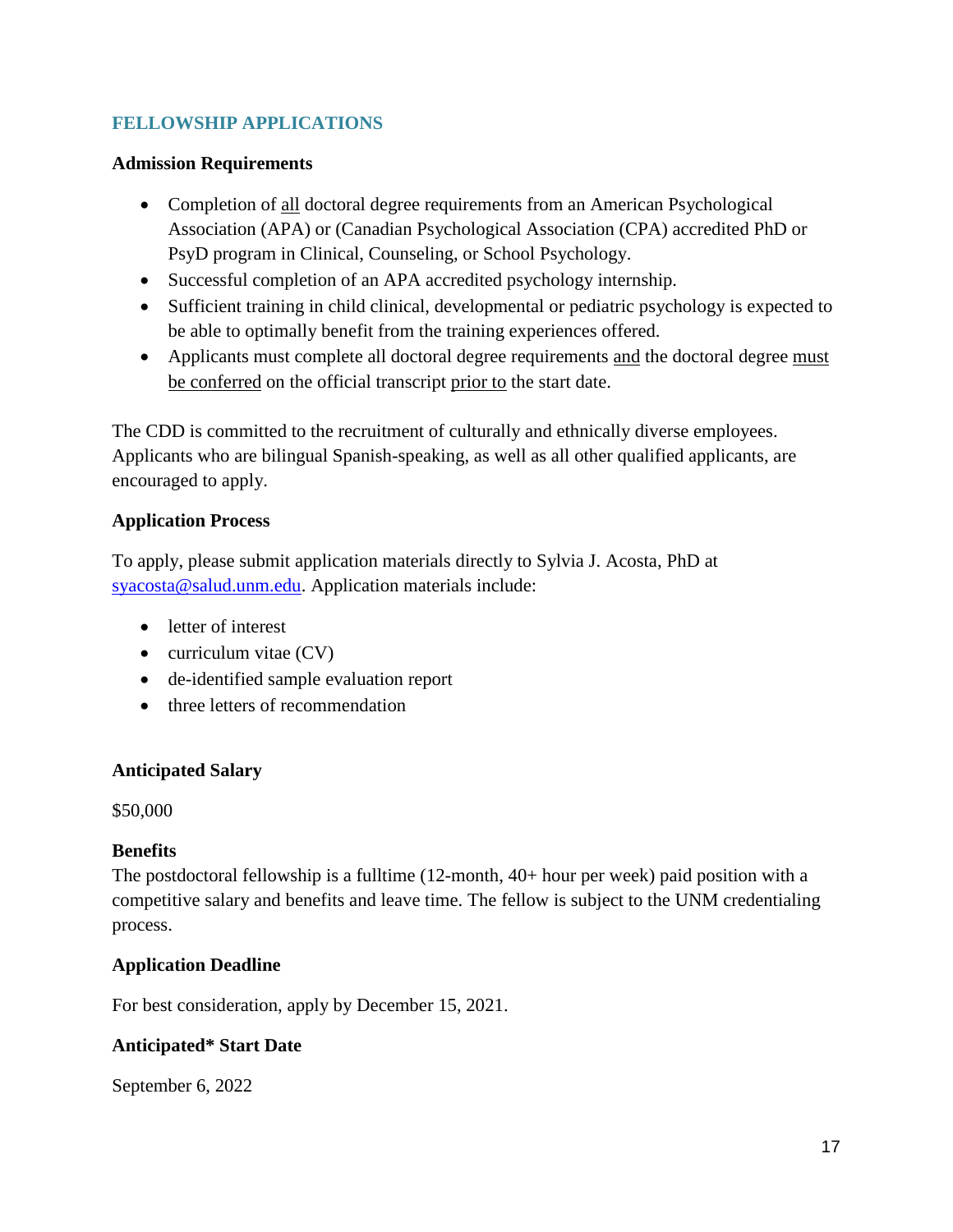# **FELLOWSHIP APPLICATIONS**

## **Admission Requirements**

- Completion of all doctoral degree requirements from an American Psychological Association (APA) or (Canadian Psychological Association (CPA) accredited PhD or PsyD program in Clinical, Counseling, or School Psychology.
- Successful completion of an APA accredited psychology internship.
- Sufficient training in child clinical, developmental or pediatric psychology is expected to be able to optimally benefit from the training experiences offered.
- Applicants must complete all doctoral degree requirements and the doctoral degree must be conferred on the official transcript prior to the start date.

The CDD is committed to the recruitment of culturally and ethnically diverse employees. Applicants who are bilingual Spanish-speaking, as well as all other qualified applicants, are encouraged to apply.

# **Application Process**

To apply, please submit application materials directly to Sylvia J. Acosta, PhD at [syacosta@salud.unm.edu.](mailto:syacosta@salud.unm.edu) Application materials include:

- letter of interest
- $\bullet$  curriculum vitae (CV)
- de-identified sample evaluation report
- three letters of recommendation

## **Anticipated Salary**

\$50,000

## **Benefits**

The postdoctoral fellowship is a fulltime (12-month, 40+ hour per week) paid position with a competitive salary and benefits and leave time. The fellow is subject to the UNM credentialing process.

## **Application Deadline**

For best consideration, apply by December 15, 2021.

# **Anticipated\* Start Date**

September 6, 2022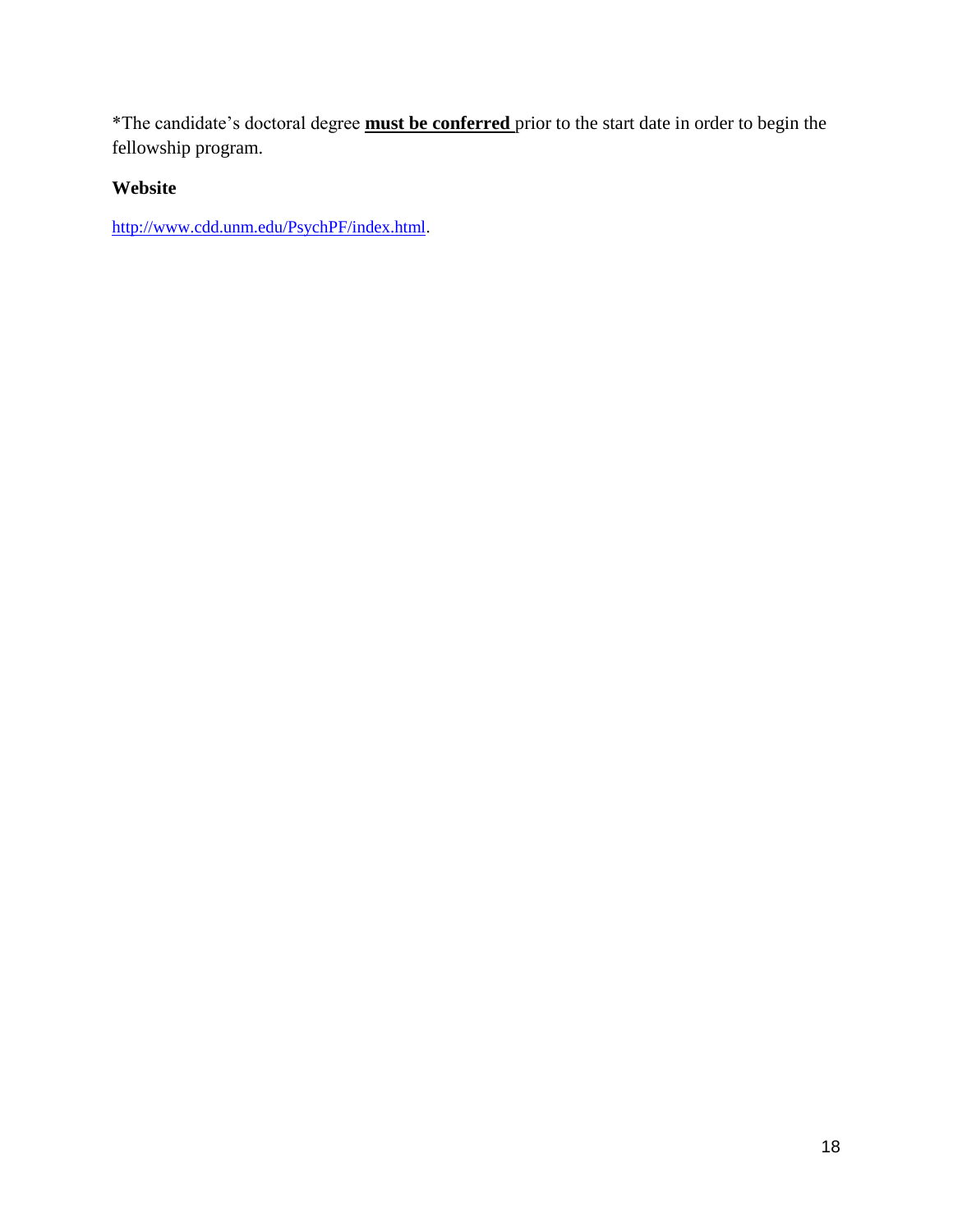\*The candidate's doctoral degree **must be conferred** prior to the start date in order to begin the fellowship program.

# **Website**

[http://www.cdd.unm.edu/PsychPF/index.html.](http://www.cdd.unm.edu/PsychPF/index.html)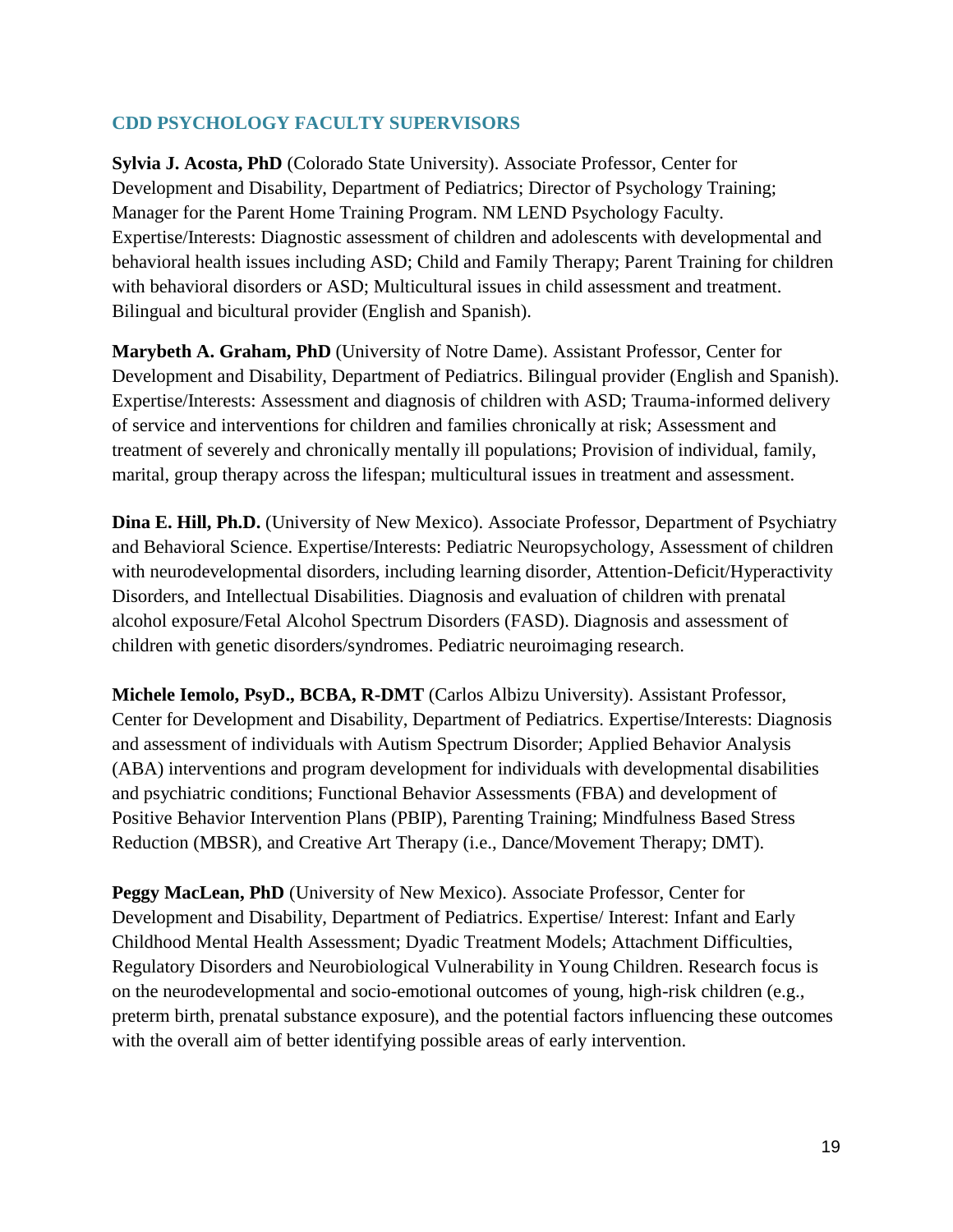# **CDD PSYCHOLOGY FACULTY SUPERVISORS**

**Sylvia J. Acosta, PhD** (Colorado State University). Associate Professor, Center for Development and Disability, Department of Pediatrics; Director of Psychology Training; Manager for the Parent Home Training Program. NM LEND Psychology Faculty. Expertise/Interests: Diagnostic assessment of children and adolescents with developmental and behavioral health issues including ASD; Child and Family Therapy; Parent Training for children with behavioral disorders or ASD; Multicultural issues in child assessment and treatment. Bilingual and bicultural provider (English and Spanish).

**Marybeth A. Graham, PhD** (University of Notre Dame). Assistant Professor, Center for Development and Disability, Department of Pediatrics. Bilingual provider (English and Spanish). Expertise/Interests: Assessment and diagnosis of children with ASD; Trauma-informed delivery of service and interventions for children and families chronically at risk; Assessment and treatment of severely and chronically mentally ill populations; Provision of individual, family, marital, group therapy across the lifespan; multicultural issues in treatment and assessment.

**Dina E. Hill, Ph.D.** (University of New Mexico). Associate Professor, Department of Psychiatry and Behavioral Science. Expertise/Interests: Pediatric Neuropsychology, Assessment of children with neurodevelopmental disorders, including learning disorder, Attention-Deficit/Hyperactivity Disorders, and Intellectual Disabilities. Diagnosis and evaluation of children with prenatal alcohol exposure/Fetal Alcohol Spectrum Disorders (FASD). Diagnosis and assessment of children with genetic disorders/syndromes. Pediatric neuroimaging research.

**Michele Iemolo, PsyD., BCBA, R-DMT** (Carlos Albizu University). Assistant Professor, Center for Development and Disability, Department of Pediatrics. Expertise/Interests: Diagnosis and assessment of individuals with Autism Spectrum Disorder; Applied Behavior Analysis (ABA) interventions and program development for individuals with developmental disabilities and psychiatric conditions; Functional Behavior Assessments (FBA) and development of Positive Behavior Intervention Plans (PBIP), Parenting Training; Mindfulness Based Stress Reduction (MBSR), and Creative Art Therapy (i.e., Dance/Movement Therapy; DMT).

**Peggy MacLean, PhD** (University of New Mexico). Associate Professor, Center for Development and Disability, Department of Pediatrics. Expertise/ Interest: Infant and Early Childhood Mental Health Assessment; Dyadic Treatment Models; Attachment Difficulties, Regulatory Disorders and Neurobiological Vulnerability in Young Children. Research focus is on the neurodevelopmental and socio-emotional outcomes of young, high-risk children (e.g., preterm birth, prenatal substance exposure), and the potential factors influencing these outcomes with the overall aim of better identifying possible areas of early intervention.